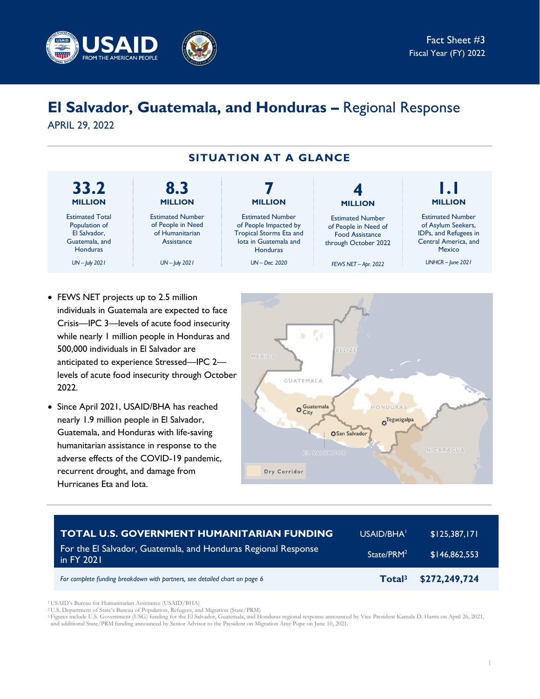

# **El Salvador, Guatemala, and Honduras –** Regional Response

APRIL 29, 2022



- FEWS NET projects up to 2.5 million individuals in Guatemala are expected to face Crisis—IPC 3—levels of acute food insecurity while nearly 1 million people in Honduras and 500,000 individuals in El Salvador are anticipated to experience Stressed—IPC 2 levels of acute food insecurity through October 2022.
- Since April 2021, USAID/BHA has reached nearly 1.9 million people in El Salvador, Guatemala, and Honduras with life-saving humanitarian assistance in response to the adverse effects of the COVID-19 pandemic, recurrent drought, and damage from Hurricanes Eta and Iota.



| <b>TOTAL U.S. GOVERNMENT HUMANITARIAN FUNDING</b>                            | USAID/BHA <sup>1</sup> | \$125,387,171 |
|------------------------------------------------------------------------------|------------------------|---------------|
| For the El Salvador, Guatemala, and Honduras Regional Response<br>in FY 2021 | State/PRM <sup>2</sup> | \$146,862,553 |
| For complete funding breakdown with partners, see detailed chart on page 6   | Total <sup>3</sup>     | \$272,249,724 |

<sup>1</sup>USAID's Bureau for Humanitarian Assistance (USAID/BHA)

<sup>2</sup>U.S. Department of State's Bureau of Population, Refugees, and Migration (State/PRM)

<sup>3</sup>Figures include U.S. Government (USG) funding for the El Salvador, Guatemala, and Honduras regional response announced by Vice President Kamala D. Harris on April 26, 2021, and additional State/PRM funding announced by Senior Advisor to the President on Migration Amy Pope on June 10, 2021.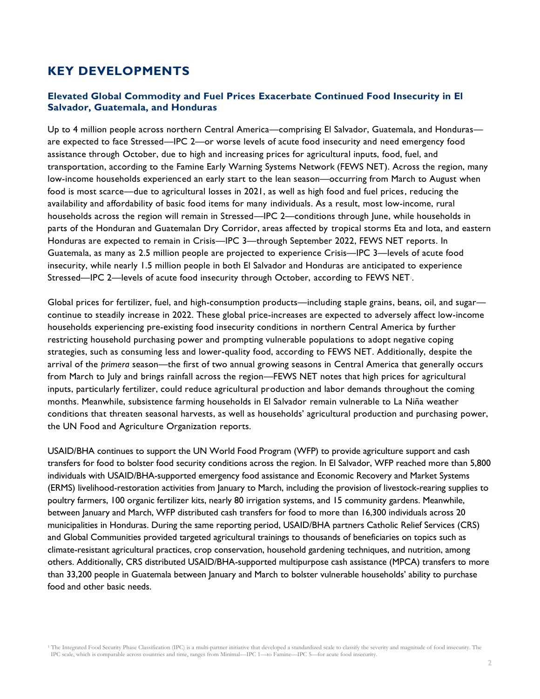# **KEY DEVELOPMENTS**

## **Elevated Global Commodity and Fuel Prices Exacerbate Continued Food Insecurity in El Salvador, Guatemala, and Honduras**

Up to 4 million people across northern Central America—comprising El Salvador, Guatemala, and Honduras are expected to face Stressed—IPC 2—or worse levels of acute food insecurity and need emergency food assistance through October, due to high and increasing prices for agricultural inputs, food, fuel, and transportation, according to the Famine Early Warning Systems Network (FEWS NET). Across the region, many low-income households experienced an early start to the lean season—occurring from March to August when food is most scarce—due to agricultural losses in 2021, as well as high food and fuel prices, reducing the availability and affordability of basic food items for many individuals. As a result, most low-income, rural households across the region will remain in Stressed—IPC 2—conditions through June, while households in parts of the Honduran and Guatemalan Dry Corridor, areas affected by tropical storms Eta and Iota, and eastern Honduras are expected to remain in Crisis—IPC 3—through September 2022, FEWS NET reports. In Guatemala, as many as 2.5 million people are projected to experience Crisis—IPC 3—levels of acute food insecurity, while nearly 1.5 million people in both El Salvador and Honduras are anticipated to experience Stressed—IPC 2—levels of acute food insecurity through October, according to FEWS NET.

Global prices for fertilizer, fuel, and high-consumption products—including staple grains, beans, oil, and sugar continue to steadily increase in 2022. These global price-increases are expected to adversely affect low-income households experiencing pre-existing food insecurity conditions in northern Central America by further restricting household purchasing power and prompting vulnerable populations to adopt negative coping strategies, such as consuming less and lower-quality food, according to FEWS NET. Additionally, despite the arrival of the *primera* season—the first of two annual growing seasons in Central America that generally occurs from March to July and brings rainfall across the region—FEWS NET notes that high prices for agricultural inputs, particularly fertilizer, could reduce agricultural production and labor demands throughout the coming months. Meanwhile, subsistence farming households in El Salvador remain vulnerable to La Niña weather conditions that threaten seasonal harvests, as well as households' agricultural production and purchasing power, the UN Food and Agriculture Organization reports.

USAID/BHA continues to support the UN World Food Program (WFP) to provide agriculture support and cash transfers for food to bolster food security conditions across the region. In El Salvador, WFP reached more than 5,800 individuals with USAID/BHA-supported emergency food assistance and Economic Recovery and Market Systems (ERMS) livelihood-restoration activities from January to March, including the provision of livestock-rearing supplies to poultry farmers, 100 organic fertilizer kits, nearly 80 irrigation systems, and 15 community gardens. Meanwhile, between January and March, WFP distributed cash transfers for food to more than 16,300 individuals across 20 municipalities in Honduras. During the same reporting period, USAID/BHA partners Catholic Relief Services (CRS) and Global Communities provided targeted agricultural trainings to thousands of beneficiaries on topics such as climate-resistant agricultural practices, crop conservation, household gardening techniques, and nutrition, among others. Additionally, CRS distributed USAID/BHA-supported multipurpose cash assistance (MPCA) transfers to more than 33,200 people in Guatemala between January and March to bolster vulnerable households' ability to purchase food and other basic needs.

<sup>1</sup> The Integrated Food Security Phase Classification (IPC) is a multi-partner initiative that developed a standardized scale to classify the severity and magnitude of food insecurity. The IPC scale, which is comparable across countries and time, ranges from Minimal—IPC 1—to Famine—IPC 5—for acute food insecurity.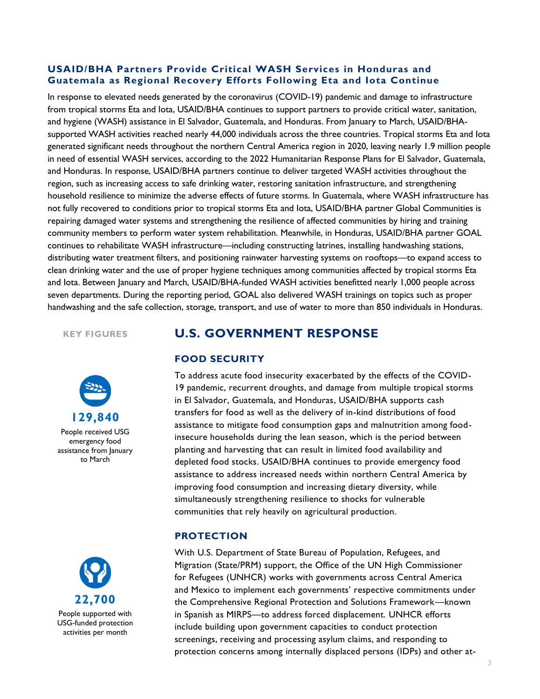### **USAID/BHA Partners Provide Critical WASH Services in Honduras and Guatemala as Regional Recovery Efforts Following Eta and Iota Continue**

In response to elevated needs generated by the coronavirus (COVID-19) pandemic and damage to infrastructure from tropical storms Eta and Iota, USAID/BHA continues to support partners to provide critical water, sanitation, and hygiene (WASH) assistance in El Salvador, Guatemala, and Honduras. From January to March, USAID/BHAsupported WASH activities reached nearly 44,000 individuals across the three countries. Tropical storms Eta and Iota generated significant needs throughout the northern Central America region in 2020, leaving nearly 1.9 million people in need of essential WASH services, according to the 2022 Humanitarian Response Plans for El Salvador, Guatemala, and Honduras. In response, USAID/BHA partners continue to deliver targeted WASH activities throughout the region, such as increasing access to safe drinking water, restoring sanitation infrastructure, and strengthening household resilience to minimize the adverse effects of future storms. In Guatemala, where WASH infrastructure has not fully recovered to conditions prior to tropical storms Eta and Iota, USAID/BHA partner Global Communities is repairing damaged water systems and strengthening the resilience of affected communities by hiring and training community members to perform water system rehabilitation. Meanwhile, in Honduras, USAID/BHA partner GOAL continues to rehabilitate WASH infrastructure—including constructing latrines, installing handwashing stations, distributing water treatment filters, and positioning rainwater harvesting systems on rooftops—to expand access to clean drinking water and the use of proper hygiene techniques among communities affected by tropical storms Eta and Iota. Between January and March, USAID/BHA-funded WASH activities benefitted nearly 1,000 people across seven departments. During the reporting period, GOAL also delivered WASH trainings on topics such as proper handwashing and the safe collection, storage, transport, and use of water to more than 850 individuals in Honduras.

**KEY FIGURES**





# **U.S. GOVERNMENT RESPONSE**

#### **FOOD SECURITY**

To address acute food insecurity exacerbated by the effects of the COVID-19 pandemic, recurrent droughts, and damage from multiple tropical storms in El Salvador, Guatemala, and Honduras, USAID/BHA supports cash transfers for food as well as the delivery of in-kind distributions of food assistance to mitigate food consumption gaps and malnutrition among foodinsecure households during the lean season, which is the period between planting and harvesting that can result in limited food availability and depleted food stocks. USAID/BHA continues to provide emergency food assistance to address increased needs within northern Central America by improving food consumption and increasing dietary diversity, while simultaneously strengthening resilience to shocks for vulnerable communities that rely heavily on agricultural production.

#### **PROTECTION**

With U.S. Department of State Bureau of Population, Refugees, and Migration (State/PRM) support, the Office of the UN High Commissioner for Refugees (UNHCR) works with governments across Central America and Mexico to implement each governments' respective commitments under the Comprehensive Regional Protection and Solutions Framework—known in Spanish as MIRPS—to address forced displacement. UNHCR efforts include building upon government capacities to conduct protection screenings, receiving and processing asylum claims, and responding to protection concerns among internally displaced persons (IDPs) and other at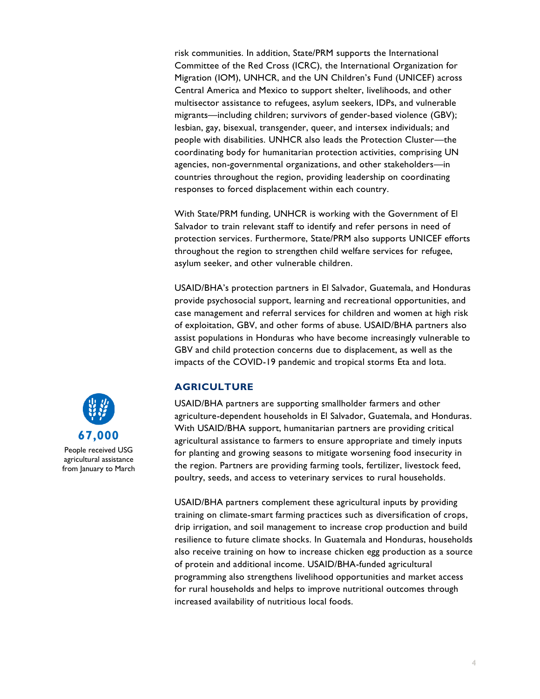risk communities. In addition, State/PRM supports the International Committee of the Red Cross (ICRC), the International Organization for Migration (IOM), UNHCR, and the UN Children's Fund (UNICEF) across Central America and Mexico to support shelter, livelihoods, and other multisector assistance to refugees, asylum seekers, IDPs, and vulnerable migrants—including children; survivors of gender-based violence (GBV); lesbian, gay, bisexual, transgender, queer, and intersex individuals; and people with disabilities. UNHCR also leads the Protection Cluster—the coordinating body for humanitarian protection activities, comprising UN agencies, non-governmental organizations, and other stakeholders—in countries throughout the region, providing leadership on coordinating responses to forced displacement within each country.

With State/PRM funding, UNHCR is working with the Government of El Salvador to train relevant staff to identify and refer persons in need of protection services. Furthermore, State/PRM also supports UNICEF efforts throughout the region to strengthen child welfare services for refugee, asylum seeker, and other vulnerable children.

USAID/BHA's protection partners in El Salvador, Guatemala, and Honduras provide psychosocial support, learning and recreational opportunities, and case management and referral services for children and women at high risk of exploitation, GBV, and other forms of abuse. USAID/BHA partners also assist populations in Honduras who have become increasingly vulnerable to GBV and child protection concerns due to displacement, as well as the impacts of the COVID-19 pandemic and tropical storms Eta and Iota.

#### **AGRICULTURE**

USAID/BHA partners are supporting smallholder farmers and other agriculture-dependent households in El Salvador, Guatemala, and Honduras. With USAID/BHA support, humanitarian partners are providing critical agricultural assistance to farmers to ensure appropriate and timely inputs for planting and growing seasons to mitigate worsening food insecurity in the region. Partners are providing farming tools, fertilizer, livestock feed, poultry, seeds, and access to veterinary services to rural households.

USAID/BHA partners complement these agricultural inputs by providing training on climate-smart farming practices such as diversification of crops, drip irrigation, and soil management to increase crop production and build resilience to future climate shocks. In Guatemala and Honduras, households also receive training on how to increase chicken egg production as a source of protein and additional income. USAID/BHA-funded agricultural programming also strengthens livelihood opportunities and market access for rural households and helps to improve nutritional outcomes through increased availability of nutritious local foods.



agricultural assistance from January to March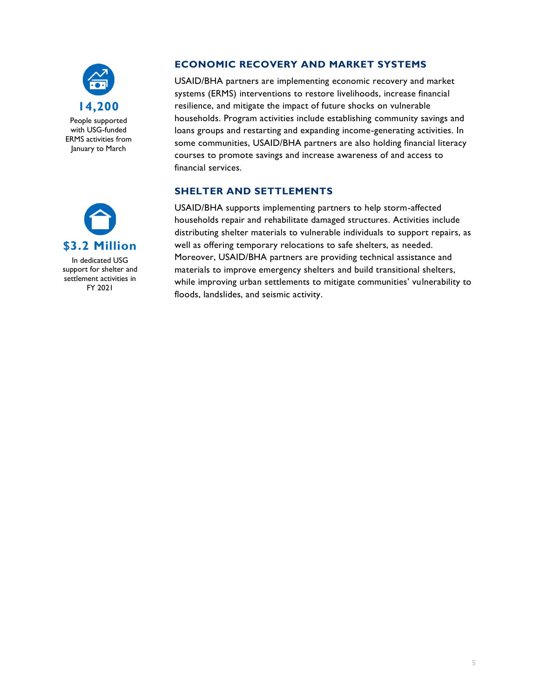

People supported with USG-funded ERMS activities from January to March



In dedicated USG support for shelter and settlement activities in FY 2021

## **ECONOMIC RECOVERY AND MARKET SYSTEMS**

USAID/BHA partners are implementing economic recovery and market systems (ERMS) interventions to restore livelihoods, increase financial resilience, and mitigate the impact of future shocks on vulnerable households. Program activities include establishing community savings and loans groups and restarting and expanding income-generating activities. In some communities, USAID/BHA partners are also holding financial literacy courses to promote savings and increase awareness of and access to financial services.

## **SHELTER AND SETTLEMENTS**

USAID/BHA supports implementing partners to help storm-affected households repair and rehabilitate damaged structures. Activities include distributing shelter materials to vulnerable individuals to support repairs, as well as offering temporary relocations to safe shelters, as needed. Moreover, USAID/BHA partners are providing technical assistance and materials to improve emergency shelters and build transitional shelters, while improving urban settlements to mitigate communities' vulnerability to floods, landslides, and seismic activity.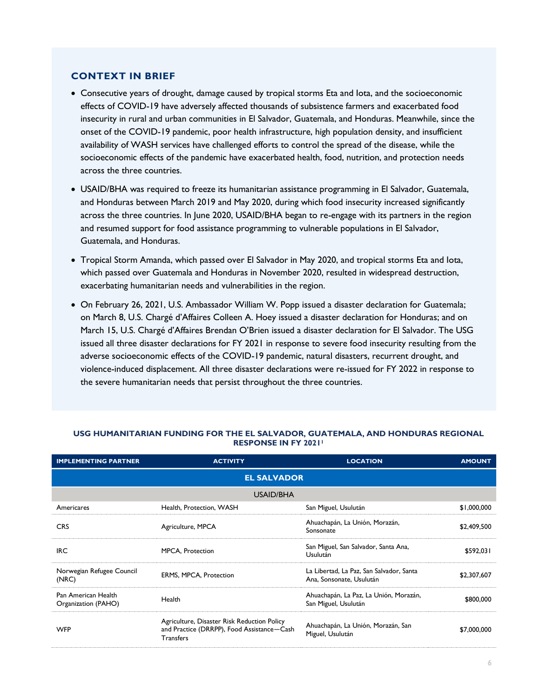#### **CONTEXT IN BRIEF**

- Consecutive years of drought, damage caused by tropical storms Eta and Iota, and the socioeconomic effects of COVID-19 have adversely affected thousands of subsistence farmers and exacerbated food insecurity in rural and urban communities in El Salvador, Guatemala, and Honduras. Meanwhile, since the onset of the COVID-19 pandemic, poor health infrastructure, high population density, and insufficient availability of WASH services have challenged efforts to control the spread of the disease, while the socioeconomic effects of the pandemic have exacerbated health, food, nutrition, and protection needs across the three countries.
- USAID/BHA was required to freeze its humanitarian assistance programming in El Salvador, Guatemala, and Honduras between March 2019 and May 2020, during which food insecurity increased significantly across the three countries. In June 2020, USAID/BHA began to re-engage with its partners in the region and resumed support for food assistance programming to vulnerable populations in El Salvador, Guatemala, and Honduras.
- Tropical Storm Amanda, which passed over El Salvador in May 2020, and tropical storms Eta and Iota, which passed over Guatemala and Honduras in November 2020, resulted in widespread destruction, exacerbating humanitarian needs and vulnerabilities in the region.
- On February 26, 2021, U.S. Ambassador William W. Popp issued a disaster declaration for Guatemala; on March 8, U.S. Chargé d'Affaires Colleen A. Hoey issued a disaster declaration for Honduras; and on March 15, U.S. Chargé d'Affaires Brendan O'Brien issued a disaster declaration for El Salvador. The USG issued all three disaster declarations for FY 2021 in response to severe food insecurity resulting from the adverse socioeconomic effects of the COVID-19 pandemic, natural disasters, recurrent drought, and violence-induced displacement. All three disaster declarations were re-issued for FY 2022 in response to the severe humanitarian needs that persist throughout the three countries.

| <b>IMPLEMENTING PARTNER</b>                | <b>ACTIVITY</b>                                                                                               | <b>LOCATION</b>                                                      | <b>AMOUNT</b> |
|--------------------------------------------|---------------------------------------------------------------------------------------------------------------|----------------------------------------------------------------------|---------------|
|                                            | <b>EL SALVADOR</b>                                                                                            |                                                                      |               |
|                                            | <b>USAID/BHA</b>                                                                                              |                                                                      |               |
| Americares                                 | Health, Protection, WASH                                                                                      | San Miguel, Usulután                                                 | \$1,000,000   |
| <b>CRS</b>                                 | Agriculture, MPCA                                                                                             | Ahuachapán, La Unión, Morazán,<br>Sonsonate                          | \$2,409,500   |
| <b>IRC</b>                                 | MPCA, Protection                                                                                              | San Miguel, San Salvador, Santa Ana,<br><b>Usulután</b>              | \$592,031     |
| Norwegian Refugee Council<br>(NRC)         | ERMS, MPCA, Protection                                                                                        | La Libertad, La Paz, San Salvador, Santa<br>Ana, Sonsonate, Usulután | \$2,307,607   |
| Pan American Health<br>Organization (PAHO) | Health                                                                                                        | Ahuachapán, La Paz, La Unión, Morazán,<br>San Miguel, Usulután       | \$800,000     |
| <b>WFP</b>                                 | Agriculture, Disaster Risk Reduction Policy<br>and Practice (DRRPP), Food Assistance-Cash<br><b>Transfers</b> | Ahuachapán, La Unión, Morazán, San<br>Miguel, Usulután               | \$7,000,000   |

#### **USG HUMANITARIAN FUNDING FOR THE EL SALVADOR, GUATEMALA, AND HONDURAS REGIONAL RESPONSE IN FY 2021<sup>1</sup>**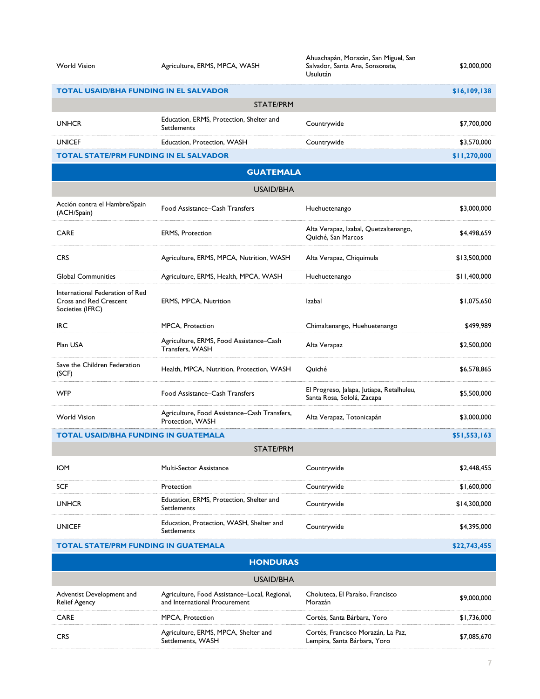#### World Vision **Agriculture, ERMS, MPCA, WASH**

Ahuachapán, Morazán, San Miguel, San Salvador, Santa Ana, Sonsonate, Usulután

\$2,000,000

|                                                                               |                                                                  | Usulután                                                                |              |
|-------------------------------------------------------------------------------|------------------------------------------------------------------|-------------------------------------------------------------------------|--------------|
| <b>TOTAL USAID/BHA FUNDING IN EL SALVADOR</b>                                 |                                                                  |                                                                         | \$16,109,138 |
|                                                                               | <b>STATE/PRM</b>                                                 |                                                                         |              |
| <b>UNHCR</b>                                                                  | Education, ERMS, Protection, Shelter and<br>Settlements          | Countrywide                                                             | \$7,700,000  |
| <b>UNICEF</b>                                                                 | Education, Protection, WASH                                      | Countrywide                                                             | \$3,570,000  |
| <b>TOTAL STATE/PRM FUNDING IN EL SALVADOR</b>                                 |                                                                  |                                                                         | \$11,270,000 |
|                                                                               | <b>GUATEMALA</b>                                                 |                                                                         |              |
|                                                                               | <b>USAID/BHA</b>                                                 |                                                                         |              |
| Acción contra el Hambre/Spain<br>(ACH/Spain)                                  | Food Assistance–Cash Transfers                                   | Huehuetenango                                                           | \$3,000,000  |
| <b>CARE</b>                                                                   | <b>ERMS, Protection</b>                                          | Alta Verapaz, Izabal, Quetzaltenango,<br>Quiché, San Marcos             | \$4,498,659  |
| <b>CRS</b>                                                                    | Agriculture, ERMS, MPCA, Nutrition, WASH                         | Alta Verapaz, Chiquimula                                                | \$13,500,000 |
| <b>Global Communities</b>                                                     | Agriculture, ERMS, Health, MPCA, WASH                            | Huehuetenango                                                           | \$11,400,000 |
| International Federation of Red<br>Cross and Red Crescent<br>Societies (IFRC) | ERMS, MPCA, Nutrition                                            | Izabal                                                                  | \$1,075,650  |
| <b>IRC</b>                                                                    | MPCA, Protection                                                 | Chimaltenango, Huehuetenango                                            | \$499.989    |
| Plan USA                                                                      | Agriculture, ERMS, Food Assistance–Cash<br>Transfers, WASH       | Alta Verapaz                                                            | \$2,500,000  |
| Save the Children Federation<br>(SCF)                                         | Health, MPCA, Nutrition, Protection, WASH                        | Ouiché                                                                  | \$6,578,865  |
| <b>WFP</b>                                                                    | Food Assistance–Cash Transfers                                   | El Progreso, Jalapa, Jutiapa, Retalhuleu,<br>Santa Rosa, Sololá, Zacapa | \$5,500,000  |
| <b>World Vision</b>                                                           | Agriculture, Food Assistance-Cash Transfers,<br>Protection, WASH | Alta Verapaz, Totonicapán                                               | \$3,000,000  |
| <b>TOTAL USAID/BHA FUNDING IN GUATEMALA</b>                                   |                                                                  |                                                                         | \$51,553,163 |
| <b>STATE/PRM</b>                                                              |                                                                  |                                                                         |              |
| <b>IOM</b>                                                                    | Multi-Sector Assistance                                          | Countrywide                                                             | \$2,448,455  |
| <b>SCF</b>                                                                    | Protection                                                       | Countrywide                                                             | \$1,600,000  |

UNHCR Education, ERMS, Protection, Shelter and Settlements Countrywide \$14,300,000 UNICEF Education, Protection, WASH, Shelter and Education, Trotection, TVASH, Sherter and Countrywide Countroller (\$4,395,000 \$4,395,000

**TOTAL STATE/PRM FUNDING IN GUATEMALA <b>***S22,743,455 \$22,743,455* 

#### **HONDURAS** USAID/BHA Adventist Development and Relief Agency Agriculture, Food Assistance–Local, Regional, and International Procurement Choluteca, El Paraíso, Francisco Morazán \$9,000,000 CARE MPCA, Protection Cortés, Santa Bárbara, Yoro \$1,736,000 CRS Agriculture, ERMS, MPCA, Shelter and Settlements, WASH Cortés, Francisco Morazán, La Paz, Lortes, Francisco Morazan, La Paz,<br>Lempira, Santa Bárbara, Yoro **\$7,085,670**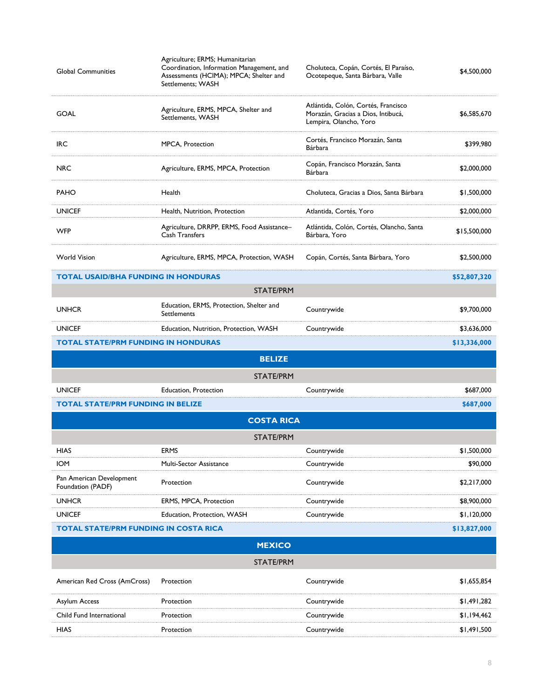| <b>Global Communities</b>                     | Agriculture; ERMS; Humanitarian<br>Coordination, Information Management, and<br>Assessments (HCIMA); MPCA; Shelter and<br>Settlements; WASH | Choluteca, Copán, Cortés, El Paraíso,<br>Ocotepeque, Santa Bárbara, Valle                           | \$4,500,000  |
|-----------------------------------------------|---------------------------------------------------------------------------------------------------------------------------------------------|-----------------------------------------------------------------------------------------------------|--------------|
| <b>GOAL</b>                                   | Agriculture, ERMS, MPCA, Shelter and<br>Settlements, WASH                                                                                   | Atlántida, Colón, Cortés, Francisco<br>Morazán, Gracias a Dios, Intibucá,<br>Lempira, Olancho, Yoro | \$6,585,670  |
| IRC                                           | MPCA, Protection                                                                                                                            | Cortés, Francisco Morazán, Santa<br>Bárbara                                                         | \$399,980    |
| <b>NRC</b>                                    | Agriculture, ERMS, MPCA, Protection                                                                                                         | Copán, Francisco Morazán, Santa<br>Bárbara                                                          | \$2,000,000  |
| <b>PAHO</b>                                   | Health                                                                                                                                      | Choluteca, Gracias a Dios, Santa Bárbara                                                            | \$1,500,000  |
| <b>UNICEF</b>                                 | Health, Nutrition, Protection                                                                                                               | Atlantida, Cortés, Yoro                                                                             | \$2,000,000  |
| <b>WFP</b>                                    | Agriculture, DRRPP, ERMS, Food Assistance-<br>Cash Transfers                                                                                | Atlántida, Colón, Cortés, Olancho, Santa<br>Bárbara, Yoro                                           | \$15,500,000 |
| <b>World Vision</b>                           | Agriculture, ERMS, MPCA, Protection, WASH                                                                                                   | Copán, Cortés, Santa Bárbara, Yoro                                                                  | \$2,500,000  |
| <b>TOTAL USAID/BHA FUNDING IN HONDURAS</b>    |                                                                                                                                             |                                                                                                     | \$52,807,320 |
|                                               | <b>STATE/PRM</b>                                                                                                                            |                                                                                                     |              |
| <b>UNHCR</b>                                  | Education, ERMS, Protection, Shelter and<br>Settlements                                                                                     | Countrywide                                                                                         | \$9,700,000  |
| <b>UNICEF</b>                                 | Education, Nutrition, Protection, WASH                                                                                                      | Countrywide                                                                                         | \$3,636,000  |
| <b>TOTAL STATE/PRM FUNDING IN HONDURAS</b>    |                                                                                                                                             |                                                                                                     | \$13,336,000 |
|                                               |                                                                                                                                             |                                                                                                     |              |
|                                               | <b>BELIZE</b>                                                                                                                               |                                                                                                     |              |
|                                               | <b>STATE/PRM</b>                                                                                                                            |                                                                                                     |              |
| <b>UNICEF</b>                                 | Education, Protection                                                                                                                       | Countrywide                                                                                         | \$687,000    |
| <b>TOTAL STATE/PRM FUNDING IN BELIZE</b>      |                                                                                                                                             |                                                                                                     | \$687,000    |
|                                               | <b>COSTA RICA</b>                                                                                                                           |                                                                                                     |              |
|                                               | <b>STATE/PRM</b>                                                                                                                            |                                                                                                     |              |
| HIAS                                          | <b>ERMS</b>                                                                                                                                 | Countrywide                                                                                         | \$1,500,000  |
| <b>IOM</b>                                    | Multi-Sector Assistance                                                                                                                     | Countrywide                                                                                         | \$90,000     |
| Pan American Development<br>Foundation (PADF) | Protection                                                                                                                                  | Countrywide                                                                                         | \$2,217,000  |
| <b>UNHCR</b>                                  | <b>ERMS, MPCA, Protection</b>                                                                                                               | Countrywide                                                                                         | \$8,900,000  |
| <b>UNICEF</b>                                 | Education, Protection, WASH                                                                                                                 | Countrywide                                                                                         | \$1,120,000  |
| <b>TOTAL STATE/PRM FUNDING IN COSTA RICA</b>  |                                                                                                                                             |                                                                                                     | \$13,827,000 |
|                                               | <b>MEXICO</b>                                                                                                                               |                                                                                                     |              |
|                                               | <b>STATE/PRM</b>                                                                                                                            |                                                                                                     |              |
| American Red Cross (AmCross)                  | Protection                                                                                                                                  | Countrywide                                                                                         | \$1,655,854  |
| <b>Asylum Access</b>                          | Protection                                                                                                                                  | Countrywide                                                                                         | \$1,491,282  |
| Child Fund International                      | Protection                                                                                                                                  | Countrywide                                                                                         | \$1,194,462  |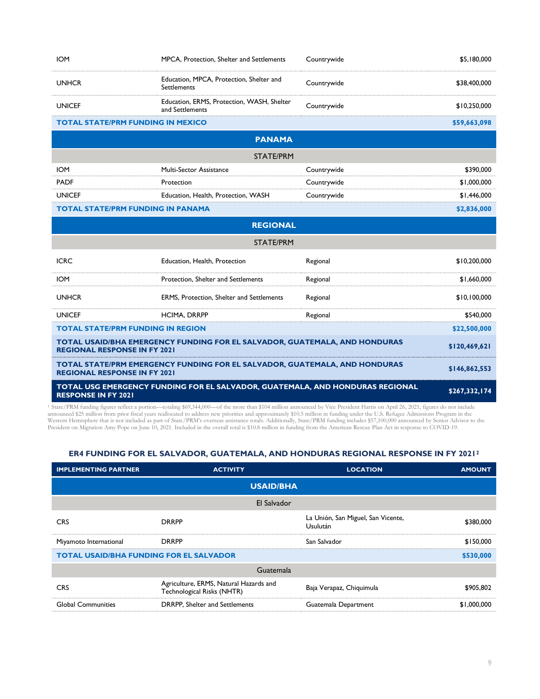| <b>IOM</b>                                                                                                        | MPCA, Protection, Shelter and Settlements                                     | Countrywide | \$5,180,000   |
|-------------------------------------------------------------------------------------------------------------------|-------------------------------------------------------------------------------|-------------|---------------|
| <b>UNHCR</b>                                                                                                      | Education, MPCA, Protection, Shelter and<br>Settlements                       | Countrywide | \$38,400,000  |
| <b>UNICEF</b>                                                                                                     | Education, ERMS, Protection, WASH, Shelter<br>and Settlements                 | Countrywide | \$10,250,000  |
| <b>TOTAL STATE/PRM FUNDING IN MEXICO</b>                                                                          |                                                                               |             | \$59,663,098  |
|                                                                                                                   | <b>PANAMA</b>                                                                 |             |               |
|                                                                                                                   | <b>STATE/PRM</b>                                                              |             |               |
| <b>IOM</b>                                                                                                        | Multi-Sector Assistance                                                       | Countrywide | \$390,000     |
| <b>PADF</b>                                                                                                       | Protection                                                                    | Countrywide | \$1,000,000   |
| <b>UNICEF</b>                                                                                                     | Education, Health, Protection, WASH                                           | Countrywide | \$1,446,000   |
| <b>TOTAL STATE/PRM FUNDING IN PANAMA</b>                                                                          |                                                                               |             | \$2,836,000   |
|                                                                                                                   | <b>REGIONAL</b>                                                               |             |               |
|                                                                                                                   | <b>STATE/PRM</b>                                                              |             |               |
| <b>ICRC</b>                                                                                                       | Education, Health, Protection                                                 | Regional    | \$10,200,000  |
| IOM                                                                                                               | Protection, Shelter and Settlements                                           | Regional    | \$1,660,000   |
| <b>UNHCR</b>                                                                                                      | ERMS, Protection, Shelter and Settlements                                     | Regional    | \$10,100,000  |
| <b>UNICEF</b>                                                                                                     | <b>HCIMA, DRRPP</b>                                                           | Regional    | \$540,000     |
| <b>TOTAL STATE/PRM FUNDING IN REGION</b>                                                                          |                                                                               |             | \$22,500,000  |
| TOTAL USAID/BHA EMERGENCY FUNDING FOR EL SALVADOR, GUATEMALA, AND HONDURAS<br><b>REGIONAL RESPONSE IN FY 2021</b> |                                                                               |             | \$120,469,621 |
| <b>REGIONAL RESPONSE IN FY 2021</b>                                                                               | TOTAL STATE/PRM EMERGENCY FUNDING FOR EL SALVADOR, GUATEMALA, AND HONDURAS    |             | \$146,862,553 |
| <b>RESPONSE IN FY 2021</b>                                                                                        | TOTAL USG EMERGENCY FUNDING FOR EL SALVADOR, GUATEMALA, AND HONDURAS REGIONAL |             | \$267,332,174 |

<sup>1</sup> State/PRM funding figures reflect a portion—totaling \$69,344,000—of the more than \$104 million announced by Vice President Harris on April 26, 2021; figures do not include announced \$25 million from prior fiscal years

#### **ER4 FUNDING FOR EL SALVADOR, GUATEMALA, AND HONDURAS REGIONAL RESPONSE IN FY 2021<sup>2</sup>**

| <b>IMPLEMENTING PARTNER</b>                    | <b>ACTIVITY</b>                                                      | <b>LOCATION</b>                                       | <b>AMOUNT</b> |
|------------------------------------------------|----------------------------------------------------------------------|-------------------------------------------------------|---------------|
|                                                | <b>USAID/BHA</b>                                                     |                                                       |               |
|                                                | El Salvador                                                          |                                                       |               |
| <b>CRS</b>                                     | <b>DRRPP</b>                                                         | La Unión, San Miguel, San Vicente,<br><b>Usulután</b> | \$380,000     |
| Miyamoto International                         | <b>DRRPP</b>                                                         | San Salvador                                          | \$150,000     |
| <b>TOTAL USAID/BHA FUNDING FOR EL SALVADOR</b> |                                                                      |                                                       | \$530,000     |
| Guatemala                                      |                                                                      |                                                       |               |
| <b>CRS</b>                                     | Agriculture, ERMS, Natural Hazards and<br>Technological Risks (NHTR) | Baja Verapaz, Chiquimula                              | \$905,802     |
| <b>Global Communities</b>                      | DRRPP, Shelter and Settlements                                       | Guatemala Department                                  | \$1,000,000   |